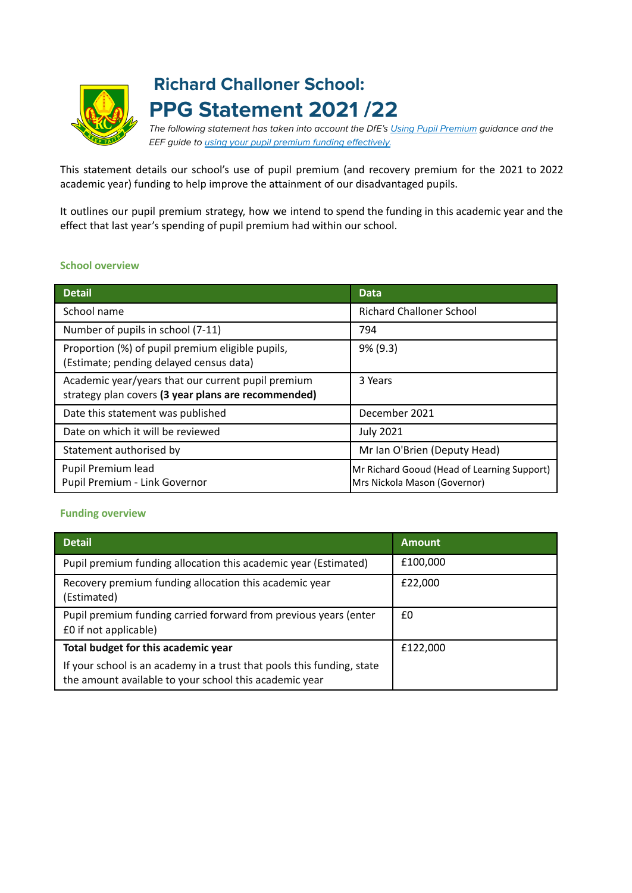

# **Richard Challoner School: PPG Statement 2021 /22**

The following statement has taken into account the DfE's [Using Pupil Premium](https://www.gov.uk/guidance/pupil-premium-effective-use-and-accountability#online-statements) guidance and the EEF guide to [using your pupil premium funding effectively.](https://educationendowmentfoundation.org.uk/guidance-for-teachers/using-pupil-premium)

This statement details our school's use of pupil premium (and recovery premium for the 2021 to 2022 academic year) funding to help improve the attainment of our disadvantaged pupils.

It outlines our pupil premium strategy, how we intend to spend the funding in this academic year and the effect that last year's spending of pupil premium had within our school.

#### **School overview**

| <b>Detail</b>                                                                                             | <b>Data</b>                                                                 |
|-----------------------------------------------------------------------------------------------------------|-----------------------------------------------------------------------------|
| School name                                                                                               | <b>Richard Challoner School</b>                                             |
| Number of pupils in school (7-11)                                                                         | 794                                                                         |
| Proportion (%) of pupil premium eligible pupils,<br>(Estimate; pending delayed census data)               | $9\%$ (9.3)                                                                 |
| Academic year/years that our current pupil premium<br>strategy plan covers (3 year plans are recommended) | 3 Years                                                                     |
| Date this statement was published                                                                         | December 2021                                                               |
| Date on which it will be reviewed                                                                         | <b>July 2021</b>                                                            |
| Statement authorised by                                                                                   | Mr Ian O'Brien (Deputy Head)                                                |
| Pupil Premium lead<br>Pupil Premium - Link Governor                                                       | Mr Richard Gooud (Head of Learning Support)<br>Mrs Nickola Mason (Governor) |

#### **Funding overview**

| <b>Detail</b>                                                                                                                    | <b>Amount</b> |
|----------------------------------------------------------------------------------------------------------------------------------|---------------|
| Pupil premium funding allocation this academic year (Estimated)                                                                  | £100,000      |
| Recovery premium funding allocation this academic year<br>(Estimated)                                                            | £22,000       |
| Pupil premium funding carried forward from previous years (enter<br>£0 if not applicable)                                        | £0            |
| Total budget for this academic year                                                                                              | £122,000      |
| If your school is an academy in a trust that pools this funding, state<br>the amount available to your school this academic year |               |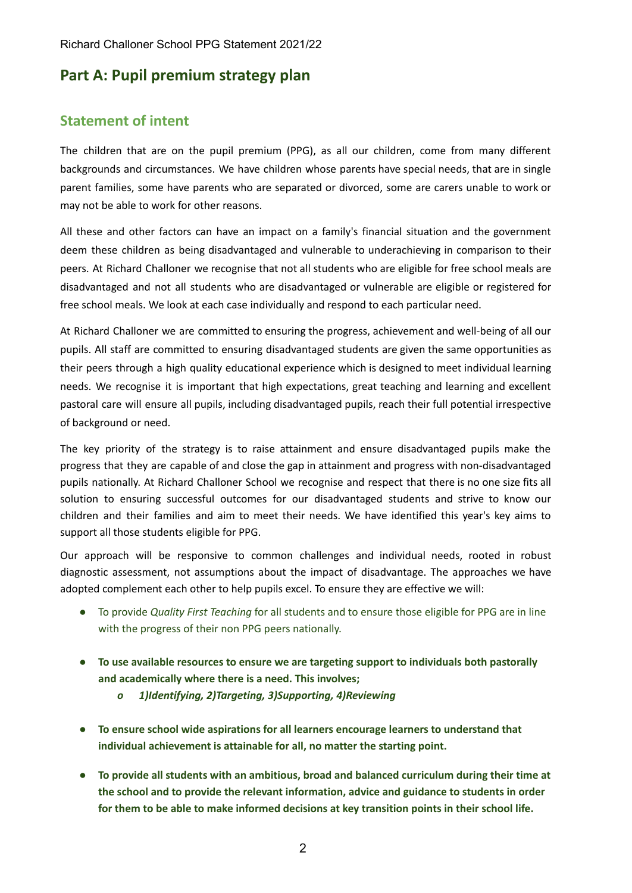### **Part A: Pupil premium strategy plan**

#### **Statement of intent**

The children that are on the pupil premium (PPG), as all our children, come from many different backgrounds and circumstances. We have children whose parents have special needs, that are in single parent families, some have parents who are separated or divorced, some are carers unable to work or may not be able to work for other reasons.

All these and other factors can have an impact on a family's financial situation and the government deem these children as being disadvantaged and vulnerable to underachieving in comparison to their peers. At Richard Challoner we recognise that not all students who are eligible for free school meals are disadvantaged and not all students who are disadvantaged or vulnerable are eligible or registered for free school meals. We look at each case individually and respond to each particular need.

At Richard Challoner we are committed to ensuring the progress, achievement and well-being of all our pupils. All staff are committed to ensuring disadvantaged students are given the same opportunities as their peers through a high quality educational experience which is designed to meet individual learning needs. We recognise it is important that high expectations, great teaching and learning and excellent pastoral care will ensure all pupils, including disadvantaged pupils, reach their full potential irrespective of background or need.

The key priority of the strategy is to raise attainment and ensure disadvantaged pupils make the progress that they are capable of and close the gap in attainment and progress with non-disadvantaged pupils nationally. At Richard Challoner School we recognise and respect that there is no one size fits all solution to ensuring successful outcomes for our disadvantaged students and strive to know our children and their families and aim to meet their needs. We have identified this year's key aims to support all those students eligible for PPG.

Our approach will be responsive to common challenges and individual needs, rooted in robust diagnostic assessment, not assumptions about the impact of disadvantage. The approaches we have adopted complement each other to help pupils excel. To ensure they are effective we will:

- To provide *Quality First Teaching* for all students and to ensure those eligible for PPG are in line with the progress of their non PPG peers nationally.
- **● To use available resources to ensure we are targeting support to individuals both pastorally and academically where there is a need. This involves;**
	- *o 1)Identifying, 2)Targeting, 3)Supporting, 4)Reviewing*
- **● To ensure school wide aspirations for all learners encourage learners to understand that individual achievement is attainable for all, no matter the starting point.**
- **● To provide all students with an ambitious, broad and balanced curriculum during their time at the school and to provide the relevant information, advice and guidance to students in order for them to be able to make informed decisions at key transition points in their school life.**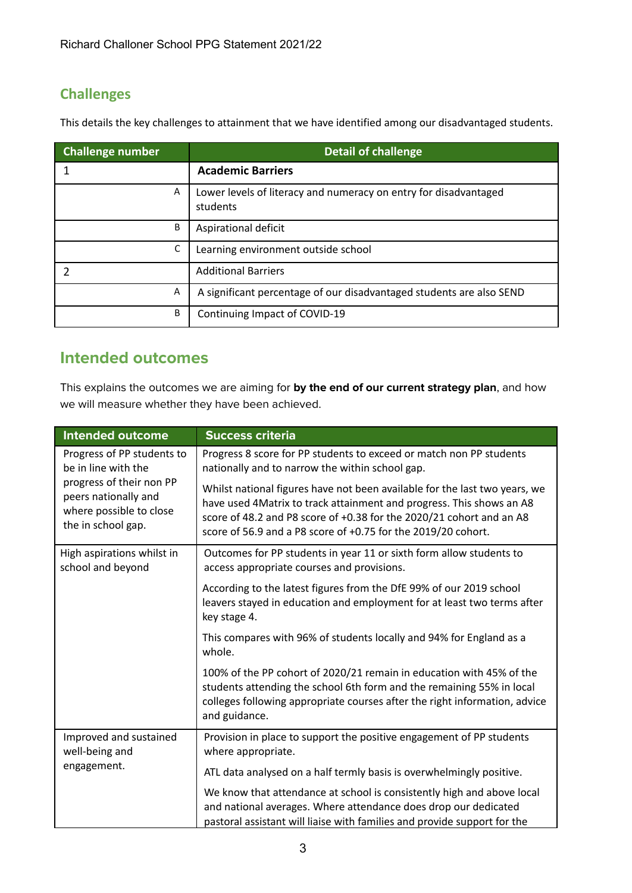### **Challenges**

This details the key challenges to attainment that we have identified among our disadvantaged students.

| <b>Challenge number</b> | <b>Detail of challenge</b>                                                   |
|-------------------------|------------------------------------------------------------------------------|
|                         | <b>Academic Barriers</b>                                                     |
| A                       | Lower levels of literacy and numeracy on entry for disadvantaged<br>students |
| B                       | Aspirational deficit                                                         |
| С                       | Learning environment outside school                                          |
| າ                       | <b>Additional Barriers</b>                                                   |
| Α                       | A significant percentage of our disadvantaged students are also SEND         |
| В                       | Continuing Impact of COVID-19                                                |

### **Intended outcomes**

This explains the outcomes we are aiming for **by the end of our current strategy plan**, and how we will measure whether they have been achieved.

| <b>Intended outcome</b>                                                                                                                                | <b>Success criteria</b>                                                                                                                                                                                                                                                                     |
|--------------------------------------------------------------------------------------------------------------------------------------------------------|---------------------------------------------------------------------------------------------------------------------------------------------------------------------------------------------------------------------------------------------------------------------------------------------|
| Progress of PP students to<br>be in line with the<br>progress of their non PP<br>peers nationally and<br>where possible to close<br>the in school gap. | Progress 8 score for PP students to exceed or match non PP students<br>nationally and to narrow the within school gap.                                                                                                                                                                      |
|                                                                                                                                                        | Whilst national figures have not been available for the last two years, we<br>have used 4Matrix to track attainment and progress. This shows an A8<br>score of 48.2 and P8 score of +0.38 for the 2020/21 cohort and an A8<br>score of 56.9 and a P8 score of +0.75 for the 2019/20 cohort. |
| High aspirations whilst in<br>school and beyond                                                                                                        | Outcomes for PP students in year 11 or sixth form allow students to<br>access appropriate courses and provisions.                                                                                                                                                                           |
|                                                                                                                                                        | According to the latest figures from the DfE 99% of our 2019 school<br>leavers stayed in education and employment for at least two terms after<br>key stage 4.                                                                                                                              |
|                                                                                                                                                        | This compares with 96% of students locally and 94% for England as a<br>whole.                                                                                                                                                                                                               |
|                                                                                                                                                        | 100% of the PP cohort of 2020/21 remain in education with 45% of the<br>students attending the school 6th form and the remaining 55% in local<br>colleges following appropriate courses after the right information, advice<br>and guidance.                                                |
| Improved and sustained<br>well-being and                                                                                                               | Provision in place to support the positive engagement of PP students<br>where appropriate.                                                                                                                                                                                                  |
| engagement.                                                                                                                                            | ATL data analysed on a half termly basis is overwhelmingly positive.                                                                                                                                                                                                                        |
|                                                                                                                                                        | We know that attendance at school is consistently high and above local<br>and national averages. Where attendance does drop our dedicated<br>pastoral assistant will liaise with families and provide support for the                                                                       |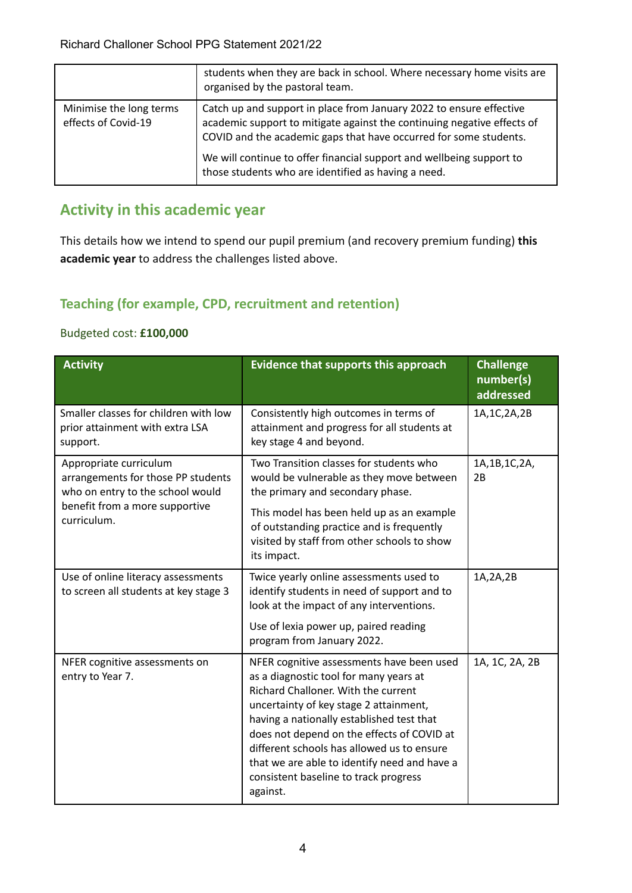|                                                | students when they are back in school. Where necessary home visits are<br>organised by the pastoral team.                                                                                                           |
|------------------------------------------------|---------------------------------------------------------------------------------------------------------------------------------------------------------------------------------------------------------------------|
| Minimise the long terms<br>effects of Covid-19 | Catch up and support in place from January 2022 to ensure effective<br>academic support to mitigate against the continuing negative effects of<br>COVID and the academic gaps that have occurred for some students. |
|                                                | We will continue to offer financial support and wellbeing support to<br>those students who are identified as having a need.                                                                                         |

# **Activity in this academic year**

This details how we intend to spend our pupil premium (and recovery premium funding) **this academic year** to address the challenges listed above.

### **Teaching (for example, CPD, recruitment and retention)**

#### Budgeted cost: **£100,000**

| <b>Activity</b>                                                                                  | <b>Evidence that supports this approach</b>                                                                                                                                                                                                                                                                                                                                                                        | <b>Challenge</b><br>number(s)<br>addressed |
|--------------------------------------------------------------------------------------------------|--------------------------------------------------------------------------------------------------------------------------------------------------------------------------------------------------------------------------------------------------------------------------------------------------------------------------------------------------------------------------------------------------------------------|--------------------------------------------|
| Smaller classes for children with low<br>prior attainment with extra LSA<br>support.             | Consistently high outcomes in terms of<br>attainment and progress for all students at<br>key stage 4 and beyond.                                                                                                                                                                                                                                                                                                   | 1A, 1C, 2A, 2B                             |
| Appropriate curriculum<br>arrangements for those PP students<br>who on entry to the school would | Two Transition classes for students who<br>would be vulnerable as they move between<br>the primary and secondary phase.                                                                                                                                                                                                                                                                                            | 1A, 1B, 1C, 2A,<br>2B                      |
| benefit from a more supportive<br>curriculum.                                                    | This model has been held up as an example<br>of outstanding practice and is frequently<br>visited by staff from other schools to show<br>its impact.                                                                                                                                                                                                                                                               |                                            |
| Use of online literacy assessments<br>to screen all students at key stage 3                      | Twice yearly online assessments used to<br>identify students in need of support and to<br>look at the impact of any interventions.                                                                                                                                                                                                                                                                                 | 1A, 2A, 2B                                 |
|                                                                                                  | Use of lexia power up, paired reading<br>program from January 2022.                                                                                                                                                                                                                                                                                                                                                |                                            |
| NFER cognitive assessments on<br>entry to Year 7.                                                | NFER cognitive assessments have been used<br>as a diagnostic tool for many years at<br>Richard Challoner. With the current<br>uncertainty of key stage 2 attainment,<br>having a nationally established test that<br>does not depend on the effects of COVID at<br>different schools has allowed us to ensure<br>that we are able to identify need and have a<br>consistent baseline to track progress<br>against. | 1A, 1C, 2A, 2B                             |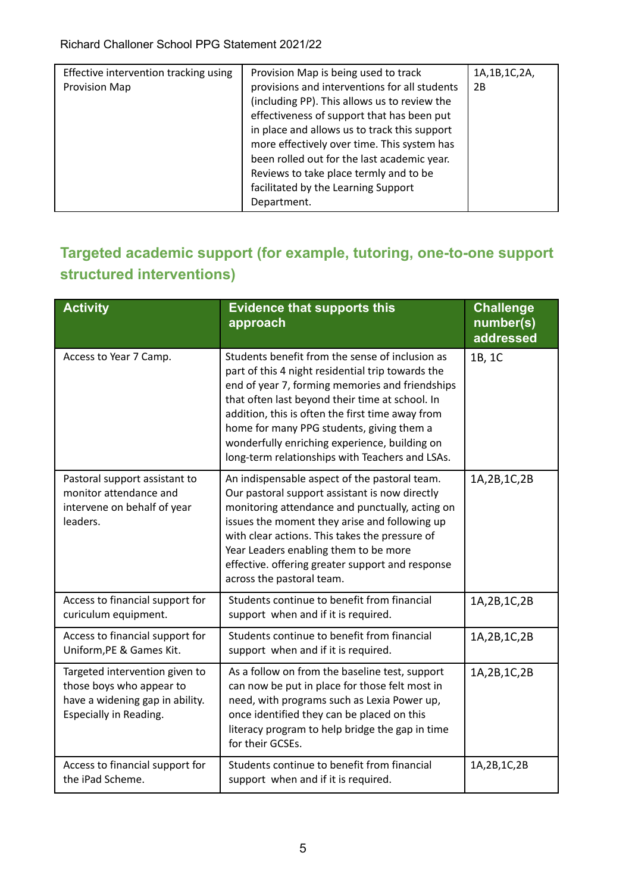| Effective intervention tracking using<br>Provision Map | Provision Map is being used to track<br>provisions and interventions for all students<br>(including PP). This allows us to review the<br>effectiveness of support that has been put<br>in place and allows us to track this support<br>more effectively over time. This system has<br>been rolled out for the last academic year.<br>Reviews to take place termly and to be<br>facilitated by the Learning Support<br>Department. | 1A, 1B, 1C, 2A,<br>2B |
|--------------------------------------------------------|-----------------------------------------------------------------------------------------------------------------------------------------------------------------------------------------------------------------------------------------------------------------------------------------------------------------------------------------------------------------------------------------------------------------------------------|-----------------------|
|--------------------------------------------------------|-----------------------------------------------------------------------------------------------------------------------------------------------------------------------------------------------------------------------------------------------------------------------------------------------------------------------------------------------------------------------------------------------------------------------------------|-----------------------|

## **Targeted academic support (for example, tutoring, one-to-one support structured interventions)**

| <b>Activity</b>                                                                                                         | <b>Evidence that supports this</b><br>approach                                                                                                                                                                                                                                                                                                                                                                  | <b>Challenge</b><br>number(s)<br>addressed |
|-------------------------------------------------------------------------------------------------------------------------|-----------------------------------------------------------------------------------------------------------------------------------------------------------------------------------------------------------------------------------------------------------------------------------------------------------------------------------------------------------------------------------------------------------------|--------------------------------------------|
| Access to Year 7 Camp.                                                                                                  | Students benefit from the sense of inclusion as<br>part of this 4 night residential trip towards the<br>end of year 7, forming memories and friendships<br>that often last beyond their time at school. In<br>addition, this is often the first time away from<br>home for many PPG students, giving them a<br>wonderfully enriching experience, building on<br>long-term relationships with Teachers and LSAs. | 1B, 1C                                     |
| Pastoral support assistant to<br>monitor attendance and<br>intervene on behalf of year<br>leaders.                      | An indispensable aspect of the pastoral team.<br>Our pastoral support assistant is now directly<br>monitoring attendance and punctually, acting on<br>issues the moment they arise and following up<br>with clear actions. This takes the pressure of<br>Year Leaders enabling them to be more<br>effective. offering greater support and response<br>across the pastoral team.                                 | 1A, 2B, 1C, 2B                             |
| Access to financial support for<br>curiculum equipment.                                                                 | Students continue to benefit from financial<br>support when and if it is required.                                                                                                                                                                                                                                                                                                                              | 1A, 2B, 1C, 2B                             |
| Access to financial support for<br>Uniform, PE & Games Kit.                                                             | Students continue to benefit from financial<br>support when and if it is required.                                                                                                                                                                                                                                                                                                                              | 1A, 2B, 1C, 2B                             |
| Targeted intervention given to<br>those boys who appear to<br>have a widening gap in ability.<br>Especially in Reading. | As a follow on from the baseline test, support<br>can now be put in place for those felt most in<br>need, with programs such as Lexia Power up,<br>once identified they can be placed on this<br>literacy program to help bridge the gap in time<br>for their GCSEs.                                                                                                                                            | 1A, 2B, 1C, 2B                             |
| Access to financial support for<br>the iPad Scheme.                                                                     | Students continue to benefit from financial<br>support when and if it is required.                                                                                                                                                                                                                                                                                                                              | 1A, 2B, 1C, 2B                             |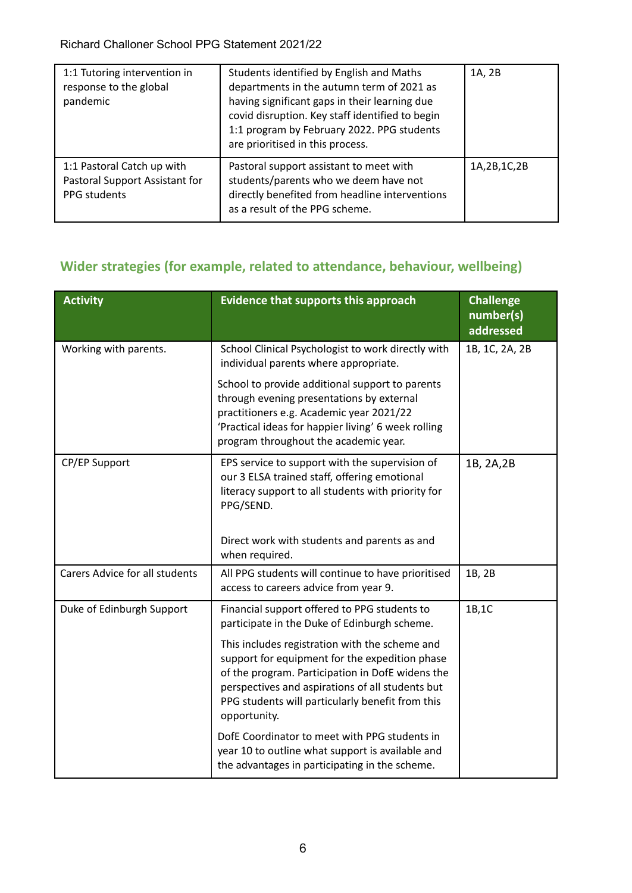| 1:1 Tutoring intervention in<br>response to the global<br>pandemic           | Students identified by English and Maths<br>departments in the autumn term of 2021 as<br>having significant gaps in their learning due<br>covid disruption. Key staff identified to begin<br>1:1 program by February 2022. PPG students<br>are prioritised in this process. | 1A, 2B         |
|------------------------------------------------------------------------------|-----------------------------------------------------------------------------------------------------------------------------------------------------------------------------------------------------------------------------------------------------------------------------|----------------|
| 1:1 Pastoral Catch up with<br>Pastoral Support Assistant for<br>PPG students | Pastoral support assistant to meet with<br>students/parents who we deem have not<br>directly benefited from headline interventions<br>as a result of the PPG scheme.                                                                                                        | 1A, 2B, 1C, 2B |

### **Wider strategies (for example, related to attendance, behaviour, wellbeing)**

| <b>Activity</b>                       | Evidence that supports this approach                                                                                                                                                                                                                                         | <b>Challenge</b><br>number(s)<br>addressed |
|---------------------------------------|------------------------------------------------------------------------------------------------------------------------------------------------------------------------------------------------------------------------------------------------------------------------------|--------------------------------------------|
| Working with parents.                 | School Clinical Psychologist to work directly with<br>individual parents where appropriate.                                                                                                                                                                                  | 1B, 1C, 2A, 2B                             |
|                                       | School to provide additional support to parents<br>through evening presentations by external<br>practitioners e.g. Academic year 2021/22<br>'Practical ideas for happier living' 6 week rolling<br>program throughout the academic year.                                     |                                            |
| CP/EP Support                         | EPS service to support with the supervision of<br>our 3 ELSA trained staff, offering emotional<br>literacy support to all students with priority for<br>PPG/SEND.                                                                                                            | 1B, 2A, 2B                                 |
|                                       | Direct work with students and parents as and<br>when required.                                                                                                                                                                                                               |                                            |
| <b>Carers Advice for all students</b> | All PPG students will continue to have prioritised<br>access to careers advice from year 9.                                                                                                                                                                                  | 1B, 2B                                     |
| Duke of Edinburgh Support             | Financial support offered to PPG students to<br>participate in the Duke of Edinburgh scheme.                                                                                                                                                                                 | 1B,1C                                      |
|                                       | This includes registration with the scheme and<br>support for equipment for the expedition phase<br>of the program. Participation in DofE widens the<br>perspectives and aspirations of all students but<br>PPG students will particularly benefit from this<br>opportunity. |                                            |
|                                       | DofE Coordinator to meet with PPG students in<br>year 10 to outline what support is available and<br>the advantages in participating in the scheme.                                                                                                                          |                                            |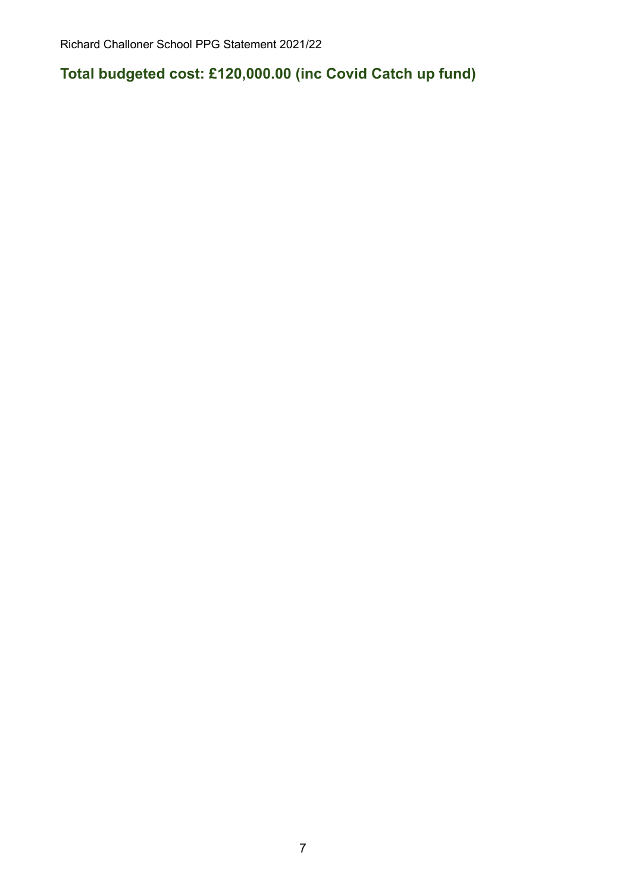**Total budgeted cost: £120,000.00 (inc Covid Catch up fund)**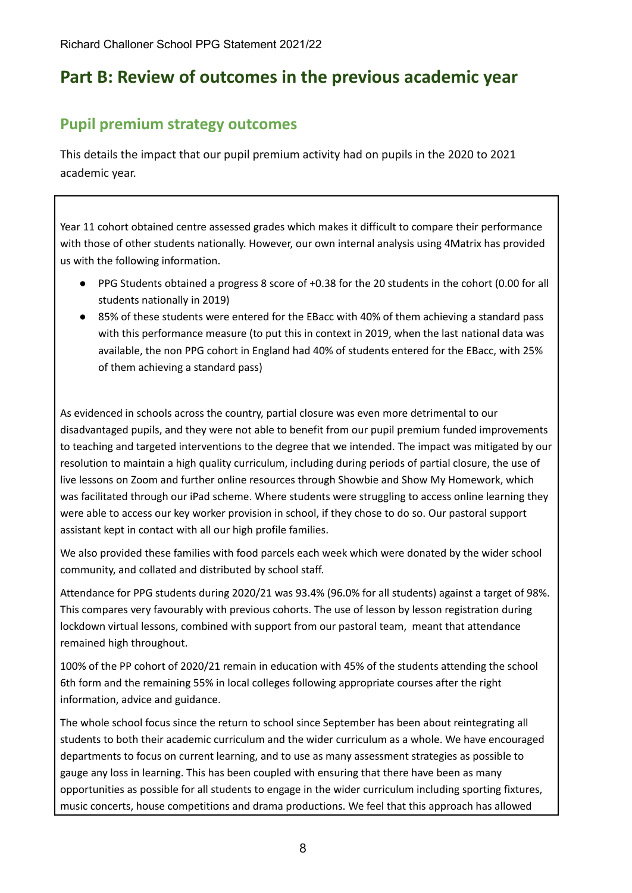# **Part B: Review of outcomes in the previous academic year**

### **Pupil premium strategy outcomes**

This details the impact that our pupil premium activity had on pupils in the 2020 to 2021 academic year.

Year 11 cohort obtained centre assessed grades which makes it difficult to compare their performance with those of other students nationally. However, our own internal analysis using 4Matrix has provided us with the following information.

- PPG Students obtained a progress 8 score of +0.38 for the 20 students in the cohort (0.00 for all students nationally in 2019)
- 85% of these students were entered for the EBacc with 40% of them achieving a standard pass with this performance measure (to put this in context in 2019, when the last national data was available, the non PPG cohort in England had 40% of students entered for the EBacc, with 25% of them achieving a standard pass)

As evidenced in schools across the country, partial closure was even more detrimental to our disadvantaged pupils, and they were not able to benefit from our pupil premium funded improvements to teaching and targeted interventions to the degree that we intended. The impact was mitigated by our resolution to maintain a high quality curriculum, including during periods of partial closure, the use of live lessons on Zoom and further online resources through Showbie and Show My Homework, which was facilitated through our iPad scheme. Where students were struggling to access online learning they were able to access our key worker provision in school, if they chose to do so. Our pastoral support assistant kept in contact with all our high profile families.

We also provided these families with food parcels each week which were donated by the wider school community, and collated and distributed by school staff.

Attendance for PPG students during 2020/21 was 93.4% (96.0% for all students) against a target of 98%. This compares very favourably with previous cohorts. The use of lesson by lesson registration during lockdown virtual lessons, combined with support from our pastoral team, meant that attendance remained high throughout.

100% of the PP cohort of 2020/21 remain in education with 45% of the students attending the school 6th form and the remaining 55% in local colleges following appropriate courses after the right information, advice and guidance.

The whole school focus since the return to school since September has been about reintegrating all students to both their academic curriculum and the wider curriculum as a whole. We have encouraged departments to focus on current learning, and to use as many assessment strategies as possible to gauge any loss in learning. This has been coupled with ensuring that there have been as many opportunities as possible for all students to engage in the wider curriculum including sporting fixtures, music concerts, house competitions and drama productions. We feel that this approach has allowed